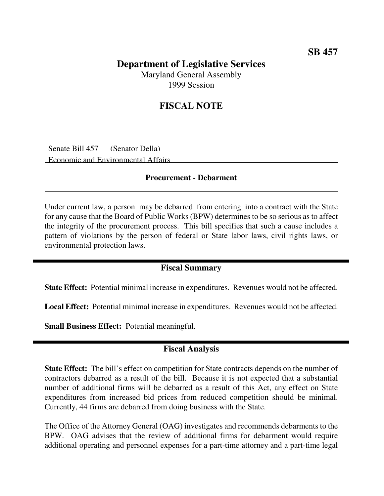## **Department of Legislative Services** Maryland General Assembly

1999 Session

# **FISCAL NOTE**

Senate Bill 457 (Senator Della) Economic and Environmental Affairs

#### **Procurement - Debarment**

Under current law, a person may be debarred from entering into a contract with the State for any cause that the Board of Public Works (BPW) determines to be so serious as to affect the integrity of the procurement process. This bill specifies that such a cause includes a pattern of violations by the person of federal or State labor laws, civil rights laws, or environmental protection laws.

### **Fiscal Summary**

**State Effect:** Potential minimal increase in expenditures. Revenues would not be affected.

**Local Effect:** Potential minimal increase in expenditures. Revenues would not be affected.

**Small Business Effect:** Potential meaningful.

#### **Fiscal Analysis**

**State Effect:** The bill's effect on competition for State contracts depends on the number of contractors debarred as a result of the bill. Because it is not expected that a substantial number of additional firms will be debarred as a result of this Act, any effect on State expenditures from increased bid prices from reduced competition should be minimal. Currently, 44 firms are debarred from doing business with the State.

The Office of the Attorney General (OAG) investigates and recommends debarments to the BPW. OAG advises that the review of additional firms for debarment would require additional operating and personnel expenses for a part-time attorney and a part-time legal